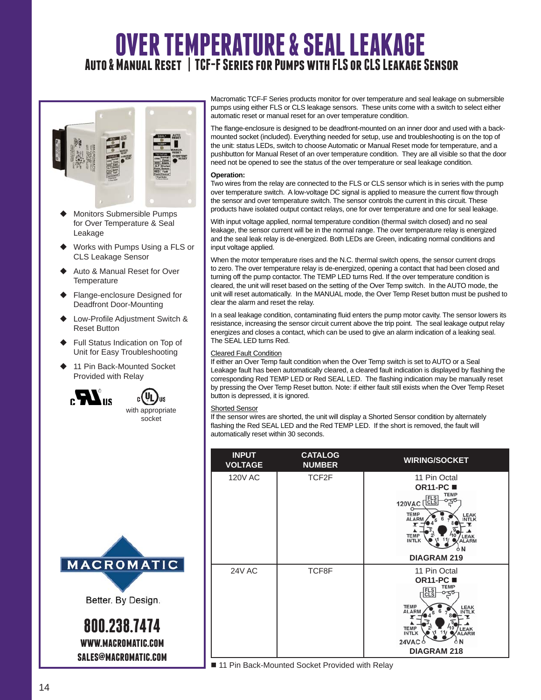# **OVER TEMPERATURE & SEAL LEAKAGE Auto & Manual Reset | TCF-F Series for Pumps with FLS or CLS Leakage Sensor**



- Monitors Submersible Pumps for Over Temperature & Seal Leakage
- ◆ Works with Pumps Using a FLS or CLS Leakage Sensor
- Auto & Manual Reset for Over **Temperature**
- ◆ Flange-enclosure Designed for Deadfront Door-Mounting
- ♦ Low-Profile Adjustment Switch & Reset Button
- ◆ Full Status Indication on Top of Unit for Easy Troubleshooting
- 11 Pin Back-Mounted Socket Provided with Relay



**IIS** with appropriate socket



Better. By Design.

**800.238.7474 www.macromatic.com sales@macromatic.com** Macromatic TCF-F Series products monitor for over temperature and seal leakage on submersible pumps using either FLS or CLS leakage sensors. These units come with a switch to select either automatic reset or manual reset for an over temperature condition.

The flange-enclosure is designed to be deadfront-mounted on an inner door and used with a backmounted socket (included). Everything needed for setup, use and troubleshooting is on the top of the unit: status LEDs, switch to choose Automatic or Manual Reset mode for temperature, and a pushbutton for Manual Reset of an over temperature condition. They are all visible so that the door need not be opened to see the status of the over temperature or seal leakage condition.

#### **Operation:**

Two wires from the relay are connected to the FLS or CLS sensor which is in series with the pump over temperature switch. A low-voltage DC signal is applied to measure the current flow through the sensor and over temperature switch. The sensor controls the current in this circuit. These products have isolated output contact relays, one for over temperature and one for seal leakage.

With input voltage applied, normal temperature condition (thermal switch closed) and no seal leakage, the sensor current will be in the normal range. The over temperature relay is energized and the seal leak relay is de-energized. Both LEDs are Green, indicating normal conditions and input voltage applied.

When the motor temperature rises and the N.C. thermal switch opens, the sensor current drops to zero. The over temperature relay is de-energized, opening a contact that had been closed and turning off the pump contactor. The TEMP LED turns Red. If the over temperature condition is cleared, the unit will reset based on the setting of the Over Temp switch. In the AUTO mode, the unit will reset automatically. In the MANUAL mode, the Over Temp Reset button must be pushed to clear the alarm and reset the relay.

In a seal leakage condition, contaminating fluid enters the pump motor cavity. The sensor lowers its resistance, increasing the sensor circuit current above the trip point. The seal leakage output relay energizes and closes a contact, which can be used to give an alarm indication of a leaking seal. The SEAL LED turns Red.

#### **Cleared Fault Condition**

If either an Over Temp fault condition when the Over Temp switch is set to AUTO or a Seal Leakage fault has been automatically cleared, a cleared fault indication is displayed by flashing the corresponding Red TEMP LED or Red SEAL LED. The flashing indication may be manually reset by pressing the Over Temp Reset button. Note: if either fault still exists when the Over Temp Reset button is depressed, it is ignored.

#### Shorted Sensor

If the sensor wires are shorted, the unit will display a Shorted Sensor condition by alternately flashing the Red SEAL LED and the Red TEMP LED. If the short is removed, the fault will automatically reset within 30 seconds.

| <b>INPUT</b><br><b>VOLTAGE</b> | <b>CATALOG</b><br><b>NUMBER</b> | <b>WIRING/SOCKET</b>                                                                                                                                                                                                   |
|--------------------------------|---------------------------------|------------------------------------------------------------------------------------------------------------------------------------------------------------------------------------------------------------------------|
| <b>120V AC</b>                 | TCF2F                           | 11 Pin Octal<br><b>OR11-PC</b> ■<br><b>TEMP</b><br>FLS<br>CLS<br>120VAC<br>$\circ$<br><b>TEMP</b><br>LEAK<br><b>ALARN</b><br><b>INTLK</b><br><b>TEMP</b><br><b>EAK</b><br><b>INTLK</b><br>LARM                         |
|                                |                                 | <b>DIAGRAM 219</b>                                                                                                                                                                                                     |
| <b>24V AC</b>                  | TCF8F                           | 11 Pin Octal<br><b>OR11-PC</b><br><b>TEMP</b><br><b>FLS</b><br>CLS<br><b>TEMP</b><br>LEAK<br><b>ALARI</b><br><b>INTLK</b><br><b>TEMP</b><br>EAK<br><b>INTLK</b><br><b>ALARM</b><br>24VAC 0<br>όN<br><b>DIAGRAM 218</b> |

■ 11 Pin Back-Mounted Socket Provided with Relay